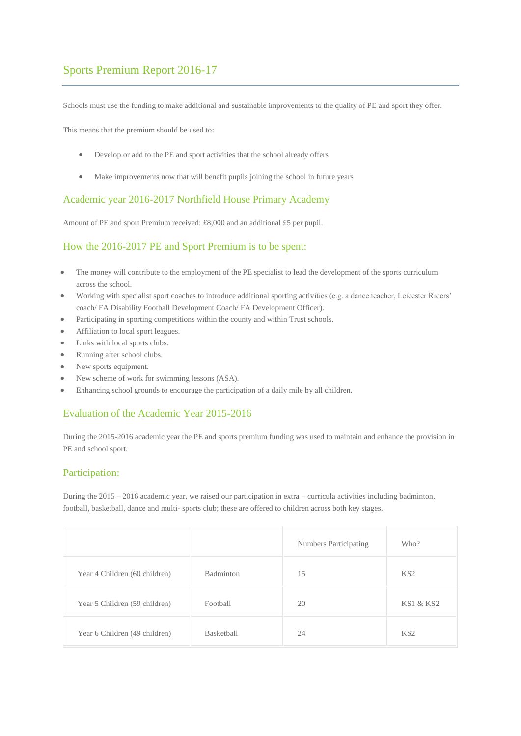# Sports Premium Report 2016-17

Schools must use the funding to make additional and sustainable improvements to the quality of PE and sport they offer.

This means that the premium should be used to:

- Develop or add to the PE and sport activities that the school already offers
- Make improvements now that will benefit pupils joining the school in future years

#### Academic year 2016-2017 Northfield House Primary Academy

Amount of PE and sport Premium received: £8,000 and an additional £5 per pupil.

### How the 2016-2017 PE and Sport Premium is to be spent:

- The money will contribute to the employment of the PE specialist to lead the development of the sports curriculum across the school.
- Working with specialist sport coaches to introduce additional sporting activities (e.g. a dance teacher, Leicester Riders' coach/ FA Disability Football Development Coach/ FA Development Officer).
- Participating in sporting competitions within the county and within Trust schools.
- Affiliation to local sport leagues.
- Links with local sports clubs.
- Running after school clubs.
- New sports equipment.
- New scheme of work for swimming lessons (ASA).
- Enhancing school grounds to encourage the participation of a daily mile by all children.

### Evaluation of the Academic Year 2015-2016

During the 2015-2016 academic year the PE and sports premium funding was used to maintain and enhance the provision in PE and school sport.

### Participation:

During the 2015 – 2016 academic year, we raised our participation in extra – curricula activities including badminton, football, basketball, dance and multi- sports club; these are offered to children across both key stages.

|                               |            | <b>Numbers Participating</b> | Who?                 |
|-------------------------------|------------|------------------------------|----------------------|
| Year 4 Children (60 children) | Badminton  | 15                           | KS <sub>2</sub>      |
| Year 5 Children (59 children) | Football   | 20                           | <b>KS1 &amp; KS2</b> |
| Year 6 Children (49 children) | Basketball | 24                           | KS <sub>2</sub>      |